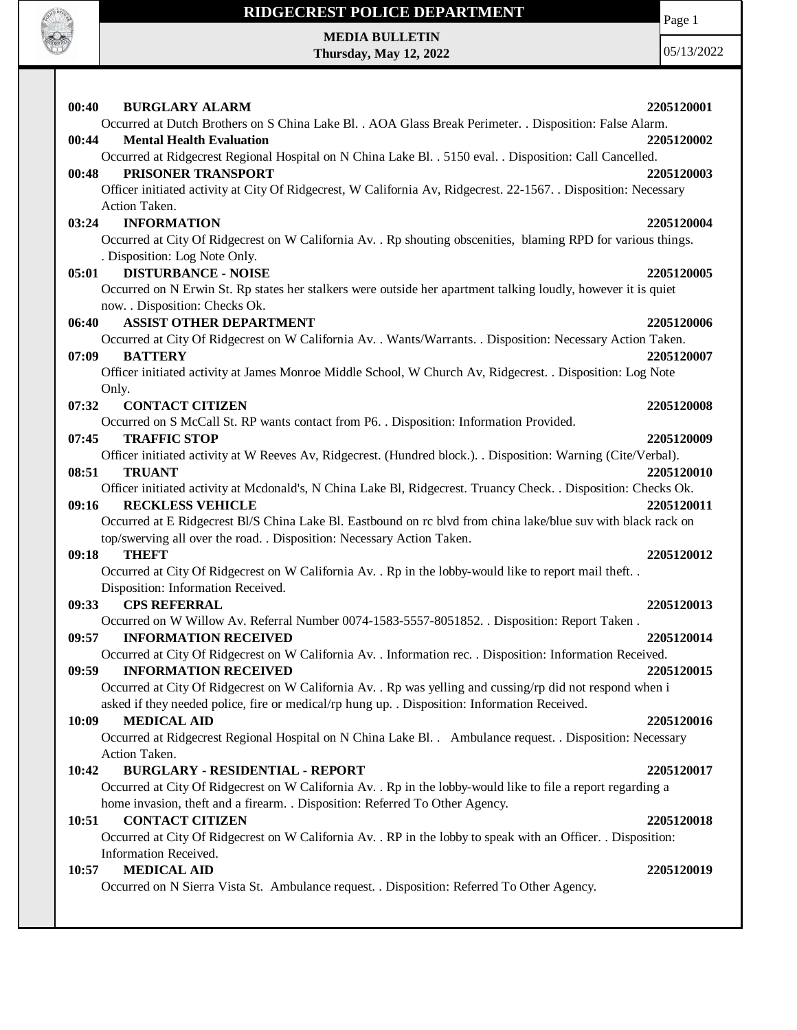

Page 1

**MEDIA BULLETIN Thursday, May 12, 2022**

| 00:40 | <b>BURGLARY ALARM</b>                                                                                                                    | 2205120001 |
|-------|------------------------------------------------------------------------------------------------------------------------------------------|------------|
|       | Occurred at Dutch Brothers on S China Lake Bl. . AOA Glass Break Perimeter. . Disposition: False Alarm.                                  |            |
| 00:44 | <b>Mental Health Evaluation</b>                                                                                                          | 2205120002 |
|       | Occurred at Ridgecrest Regional Hospital on N China Lake Bl. . 5150 eval. . Disposition: Call Cancelled.                                 |            |
| 00:48 | PRISONER TRANSPORT                                                                                                                       | 2205120003 |
|       | Officer initiated activity at City Of Ridgecrest, W California Av, Ridgecrest. 22-1567. . Disposition: Necessary                         |            |
|       | Action Taken.                                                                                                                            |            |
| 03:24 | <b>INFORMATION</b>                                                                                                                       | 2205120004 |
|       | Occurred at City Of Ridgecrest on W California Av. . Rp shouting obscenities, blaming RPD for various things.                            |            |
|       | . Disposition: Log Note Only.                                                                                                            |            |
| 05:01 | <b>DISTURBANCE - NOISE</b>                                                                                                               | 2205120005 |
|       | Occurred on N Erwin St. Rp states her stalkers were outside her apartment talking loudly, however it is quiet                            |            |
|       | now. . Disposition: Checks Ok.                                                                                                           |            |
| 06:40 | <b>ASSIST OTHER DEPARTMENT</b>                                                                                                           | 2205120006 |
|       | Occurred at City Of Ridgecrest on W California Av. . Wants/Warrants. . Disposition: Necessary Action Taken.                              |            |
| 07:09 | <b>BATTERY</b>                                                                                                                           | 2205120007 |
|       | Officer initiated activity at James Monroe Middle School, W Church Av, Ridgecrest. . Disposition: Log Note                               |            |
|       | Only.                                                                                                                                    |            |
| 07:32 | <b>CONTACT CITIZEN</b>                                                                                                                   | 2205120008 |
|       | Occurred on S McCall St. RP wants contact from P6. . Disposition: Information Provided.                                                  |            |
| 07:45 | <b>TRAFFIC STOP</b>                                                                                                                      | 2205120009 |
|       | Officer initiated activity at W Reeves Av, Ridgecrest. (Hundred block.). Disposition: Warning (Cite/Verbal).                             |            |
| 08:51 | <b>TRUANT</b>                                                                                                                            | 2205120010 |
|       | Officer initiated activity at Mcdonald's, N China Lake Bl, Ridgecrest. Truancy Check. . Disposition: Checks Ok.                          |            |
| 09:16 | <b>RECKLESS VEHICLE</b><br>Occurred at E Ridgecrest Bl/S China Lake Bl. Eastbound on rc blvd from china lake/blue suv with black rack on | 2205120011 |
|       | top/swerving all over the road. . Disposition: Necessary Action Taken.                                                                   |            |
| 09:18 | <b>THEFT</b>                                                                                                                             | 2205120012 |
|       | Occurred at City Of Ridgecrest on W California Av. . Rp in the lobby-would like to report mail theft. .                                  |            |
|       | Disposition: Information Received.                                                                                                       |            |
| 09:33 | <b>CPS REFERRAL</b>                                                                                                                      | 2205120013 |
|       | Occurred on W Willow Av. Referral Number 0074-1583-5557-8051852. . Disposition: Report Taken.                                            |            |
| 09:57 | <b>INFORMATION RECEIVED</b>                                                                                                              | 2205120014 |
|       | Occurred at City Of Ridgecrest on W California Av. . Information rec. . Disposition: Information Received.                               |            |
| 09:59 | <b>INFORMATION RECEIVED</b>                                                                                                              | 2205120015 |
|       | Occurred at City Of Ridgecrest on W California Av. . Rp was yelling and cussing/rp did not respond when i                                |            |
|       | asked if they needed police, fire or medical/rp hung up. . Disposition: Information Received.                                            |            |
| 10:09 | <b>MEDICAL AID</b>                                                                                                                       | 2205120016 |
|       | Occurred at Ridgecrest Regional Hospital on N China Lake Bl. . Ambulance request. . Disposition: Necessary                               |            |
|       | Action Taken.                                                                                                                            |            |
| 10:42 | <b>BURGLARY - RESIDENTIAL - REPORT</b>                                                                                                   | 2205120017 |
|       | Occurred at City Of Ridgecrest on W California Av. . Rp in the lobby-would like to file a report regarding a                             |            |
|       | home invasion, theft and a firearm. . Disposition: Referred To Other Agency.                                                             |            |
| 10:51 | <b>CONTACT CITIZEN</b>                                                                                                                   | 2205120018 |
|       | Occurred at City Of Ridgecrest on W California Av. . RP in the lobby to speak with an Officer. . Disposition:                            |            |
|       | Information Received.                                                                                                                    |            |
| 10:57 | <b>MEDICAL AID</b>                                                                                                                       | 2205120019 |
|       | Occurred on N Sierra Vista St. Ambulance request. . Disposition: Referred To Other Agency.                                               |            |
|       |                                                                                                                                          |            |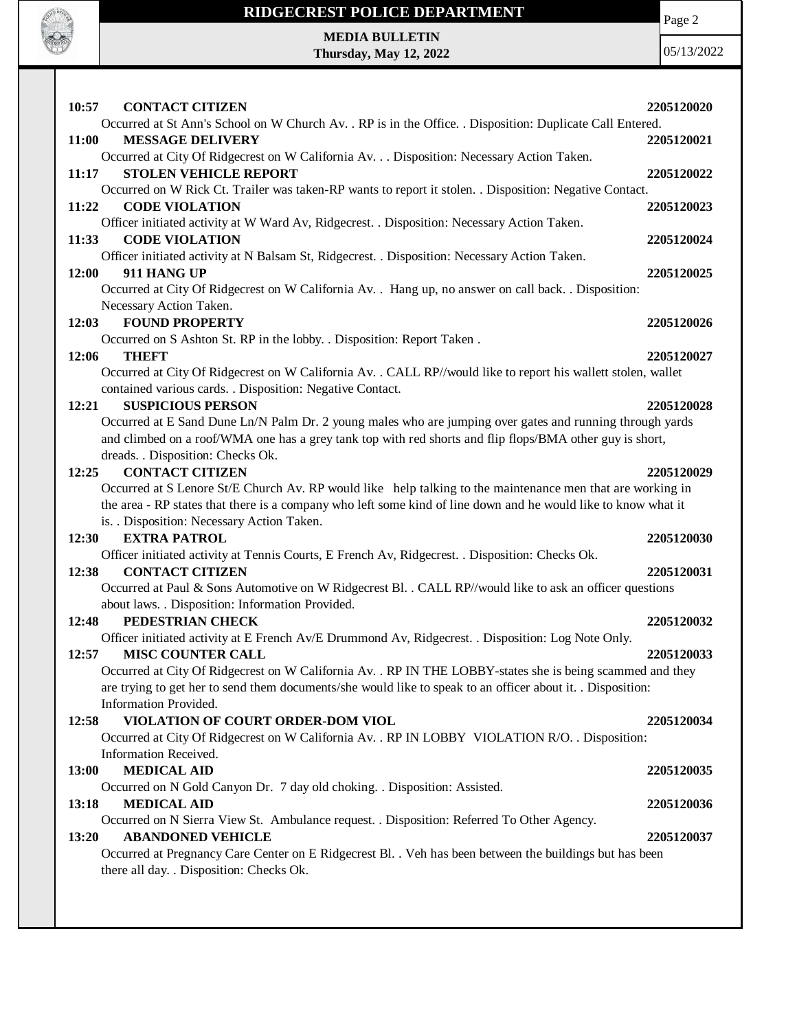

# **RIDGECREST POLICE DEPARTMENT MEDIA BULLETIN**

**Thursday, May 12, 2022**

Page 2

| 10:57<br><b>CONTACT CITIZEN</b>                                                                                                               |            |
|-----------------------------------------------------------------------------------------------------------------------------------------------|------------|
| Occurred at St Ann's School on W Church Av. . RP is in the Office. . Disposition: Duplicate Call Entered.                                     | 2205120020 |
| 11:00<br><b>MESSAGE DELIVERY</b>                                                                                                              | 2205120021 |
| Occurred at City Of Ridgecrest on W California Av. Disposition: Necessary Action Taken.                                                       |            |
| <b>STOLEN VEHICLE REPORT</b><br>11:17                                                                                                         | 2205120022 |
| Occurred on W Rick Ct. Trailer was taken-RP wants to report it stolen. . Disposition: Negative Contact.                                       |            |
| <b>CODE VIOLATION</b><br>11:22                                                                                                                | 2205120023 |
| Officer initiated activity at W Ward Av, Ridgecrest. . Disposition: Necessary Action Taken.                                                   |            |
| 11:33<br><b>CODE VIOLATION</b>                                                                                                                | 2205120024 |
| Officer initiated activity at N Balsam St, Ridgecrest. . Disposition: Necessary Action Taken.<br>12:00<br>911 HANG UP                         | 2205120025 |
| Occurred at City Of Ridgecrest on W California Av. . Hang up, no answer on call back. . Disposition:                                          |            |
| Necessary Action Taken.                                                                                                                       |            |
| <b>FOUND PROPERTY</b><br>12:03                                                                                                                | 2205120026 |
| Occurred on S Ashton St. RP in the lobby. . Disposition: Report Taken.                                                                        |            |
| <b>THEFT</b><br>12:06                                                                                                                         | 2205120027 |
| Occurred at City Of Ridgecrest on W California Av. . CALL RP//would like to report his wallett stolen, wallet                                 |            |
| contained various cards. . Disposition: Negative Contact.                                                                                     |            |
| <b>SUSPICIOUS PERSON</b><br>12:21<br>Occurred at E Sand Dune Ln/N Palm Dr. 2 young males who are jumping over gates and running through yards | 2205120028 |
| and climbed on a roof/WMA one has a grey tank top with red shorts and flip flops/BMA other guy is short,                                      |            |
| dreads. . Disposition: Checks Ok.                                                                                                             |            |
| <b>CONTACT CITIZEN</b><br>12:25                                                                                                               | 2205120029 |
| Occurred at S Lenore St/E Church Av. RP would like help talking to the maintenance men that are working in                                    |            |
| the area - RP states that there is a company who left some kind of line down and he would like to know what it                                |            |
| is. . Disposition: Necessary Action Taken.                                                                                                    |            |
| <b>EXTRA PATROL</b><br>12:30                                                                                                                  | 2205120030 |
| Officer initiated activity at Tennis Courts, E French Av, Ridgecrest. . Disposition: Checks Ok.<br><b>CONTACT CITIZEN</b><br>12:38            | 2205120031 |
| Occurred at Paul & Sons Automotive on W Ridgecrest Bl. . CALL RP//would like to ask an officer questions                                      |            |
| about laws. . Disposition: Information Provided.                                                                                              |            |
| PEDESTRIAN CHECK<br>12:48                                                                                                                     | 2205120032 |
| Officer initiated activity at E French Av/E Drummond Av, Ridgecrest. . Disposition: Log Note Only.                                            |            |
| 12:57<br><b>MISC COUNTER CALL</b>                                                                                                             | 2205120033 |
| Occurred at City Of Ridgecrest on W California Av. . RP IN THE LOBBY-states she is being scammed and they                                     |            |
| are trying to get her to send them documents/she would like to speak to an officer about it. . Disposition:                                   |            |
| Information Provided.                                                                                                                         |            |
| 12:58<br>VIOLATION OF COURT ORDER-DOM VIOL<br>Occurred at City Of Ridgecrest on W California Av. . RP IN LOBBY VIOLATION R/O. . Disposition:  | 2205120034 |
| Information Received.                                                                                                                         |            |
| <b>MEDICAL AID</b><br>13:00                                                                                                                   | 2205120035 |
| Occurred on N Gold Canyon Dr. 7 day old choking. . Disposition: Assisted.                                                                     |            |
| <b>MEDICAL AID</b><br>13:18                                                                                                                   | 2205120036 |
| Occurred on N Sierra View St. Ambulance request. . Disposition: Referred To Other Agency.                                                     |            |
| <b>ABANDONED VEHICLE</b><br>13:20                                                                                                             | 2205120037 |
| Occurred at Pregnancy Care Center on E Ridgecrest Bl. . Veh has been between the buildings but has been                                       |            |
| there all day. . Disposition: Checks Ok.                                                                                                      |            |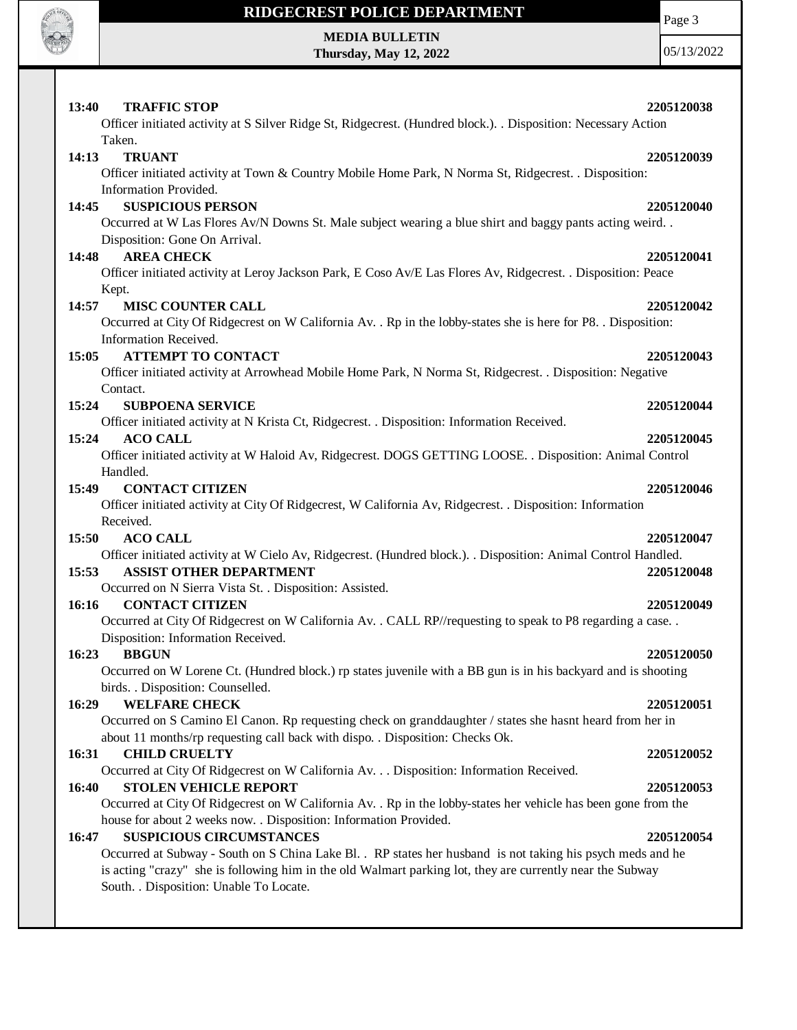

Page 3

**MEDIA BULLETIN Thursday, May 12, 2022**

| <b>TRAFFIC STOP</b><br><b>13:40</b>                                                                                                                                                                                     | 2205120038 |
|-------------------------------------------------------------------------------------------------------------------------------------------------------------------------------------------------------------------------|------------|
| Officer initiated activity at S Silver Ridge St, Ridgecrest. (Hundred block.). . Disposition: Necessary Action                                                                                                          |            |
| Taken.                                                                                                                                                                                                                  |            |
| 14:13<br><b>TRUANT</b><br>Officer initiated activity at Town & Country Mobile Home Park, N Norma St, Ridgecrest. . Disposition:                                                                                         | 2205120039 |
| Information Provided.                                                                                                                                                                                                   |            |
| <b>SUSPICIOUS PERSON</b><br>14:45                                                                                                                                                                                       | 2205120040 |
| Occurred at W Las Flores Av/N Downs St. Male subject wearing a blue shirt and baggy pants acting weird                                                                                                                  |            |
| Disposition: Gone On Arrival.                                                                                                                                                                                           |            |
| <b>AREA CHECK</b><br>14:48                                                                                                                                                                                              | 2205120041 |
| Officer initiated activity at Leroy Jackson Park, E Coso Av/E Las Flores Av, Ridgecrest. . Disposition: Peace                                                                                                           |            |
| Kept.                                                                                                                                                                                                                   |            |
| <b>MISC COUNTER CALL</b><br>14:57                                                                                                                                                                                       | 2205120042 |
| Occurred at City Of Ridgecrest on W California Av. . Rp in the lobby-states she is here for P8. . Disposition:                                                                                                          |            |
| Information Received.<br><b>ATTEMPT TO CONTACT</b><br>15:05                                                                                                                                                             | 2205120043 |
| Officer initiated activity at Arrowhead Mobile Home Park, N Norma St, Ridgecrest. . Disposition: Negative                                                                                                               |            |
| Contact.                                                                                                                                                                                                                |            |
| 15:24<br><b>SUBPOENA SERVICE</b>                                                                                                                                                                                        | 2205120044 |
| Officer initiated activity at N Krista Ct, Ridgecrest. . Disposition: Information Received.                                                                                                                             |            |
| 15:24<br><b>ACO CALL</b>                                                                                                                                                                                                | 2205120045 |
| Officer initiated activity at W Haloid Av, Ridgecrest. DOGS GETTING LOOSE. . Disposition: Animal Control                                                                                                                |            |
| Handled.                                                                                                                                                                                                                |            |
| <b>CONTACT CITIZEN</b><br>15:49                                                                                                                                                                                         | 2205120046 |
| Officer initiated activity at City Of Ridgecrest, W California Av, Ridgecrest. . Disposition: Information<br>Received.                                                                                                  |            |
| 15:50<br><b>ACO CALL</b>                                                                                                                                                                                                | 2205120047 |
| Officer initiated activity at W Cielo Av, Ridgecrest. (Hundred block.). . Disposition: Animal Control Handled.                                                                                                          |            |
| 15:53<br><b>ASSIST OTHER DEPARTMENT</b>                                                                                                                                                                                 | 2205120048 |
| Occurred on N Sierra Vista St. . Disposition: Assisted.                                                                                                                                                                 |            |
| <b>CONTACT CITIZEN</b><br>16:16                                                                                                                                                                                         | 2205120049 |
| Occurred at City Of Ridgecrest on W California Av. . CALL RP//requesting to speak to P8 regarding a case. .                                                                                                             |            |
| Disposition: Information Received.                                                                                                                                                                                      |            |
| 16:23<br><b>BBGUN</b>                                                                                                                                                                                                   | 2205120050 |
| Occurred on W Lorene Ct. (Hundred block.) rp states juvenile with a BB gun is in his backyard and is shooting                                                                                                           |            |
| birds. . Disposition: Counselled.<br><b>WELFARE CHECK</b><br>16:29                                                                                                                                                      | 2205120051 |
| Occurred on S Camino El Canon. Rp requesting check on granddaughter / states she hasnt heard from her in                                                                                                                |            |
| about 11 months/rp requesting call back with dispo. . Disposition: Checks Ok.                                                                                                                                           |            |
| <b>CHILD CRUELTY</b><br>16:31                                                                                                                                                                                           | 2205120052 |
| Occurred at City Of Ridgecrest on W California Av. Disposition: Information Received.                                                                                                                                   |            |
| <b>STOLEN VEHICLE REPORT</b><br>16:40                                                                                                                                                                                   | 2205120053 |
| Occurred at City Of Ridgecrest on W California Av. . Rp in the lobby-states her vehicle has been gone from the                                                                                                          |            |
| house for about 2 weeks now. . Disposition: Information Provided.                                                                                                                                                       |            |
| <b>SUSPICIOUS CIRCUMSTANCES</b><br>16:47                                                                                                                                                                                | 2205120054 |
| Occurred at Subway - South on S China Lake Bl. . RP states her husband is not taking his psych meds and he<br>is acting "crazy" she is following him in the old Walmart parking lot, they are currently near the Subway |            |
| South. . Disposition: Unable To Locate.                                                                                                                                                                                 |            |
|                                                                                                                                                                                                                         |            |
|                                                                                                                                                                                                                         |            |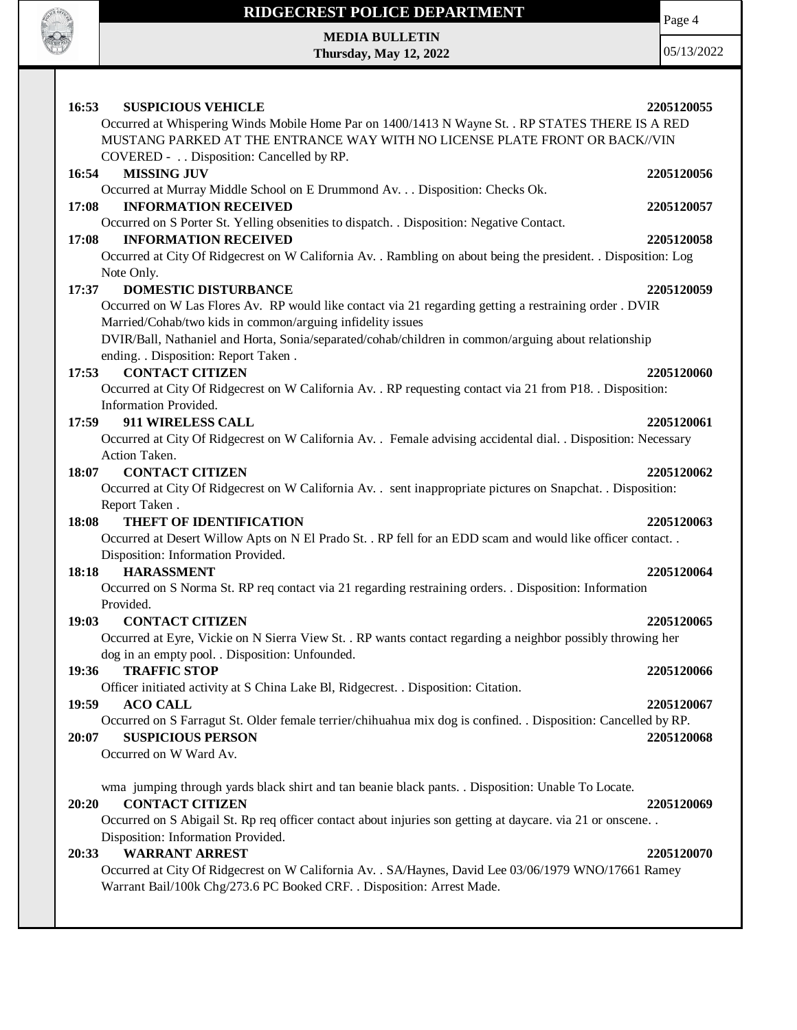

Page 4

**MEDIA BULLETIN Thursday, May 12, 2022**

| 16:53<br><b>SUSPICIOUS VEHICLE</b><br>Occurred at Whispering Winds Mobile Home Par on 1400/1413 N Wayne St. . RP STATES THERE IS A RED<br>MUSTANG PARKED AT THE ENTRANCE WAY WITH NO LICENSE PLATE FRONT OR BACK//VIN                                                                        | 2205120055               |
|----------------------------------------------------------------------------------------------------------------------------------------------------------------------------------------------------------------------------------------------------------------------------------------------|--------------------------|
| COVERED - Disposition: Cancelled by RP.<br>16:54<br><b>MISSING JUV</b><br>Occurred at Murray Middle School on E Drummond Av. Disposition: Checks Ok.<br><b>INFORMATION RECEIVED</b><br>17:08                                                                                                 | 2205120056<br>2205120057 |
| Occurred on S Porter St. Yelling obsenities to dispatch. . Disposition: Negative Contact.<br>17:08<br><b>INFORMATION RECEIVED</b><br>Occurred at City Of Ridgecrest on W California Av. . Rambling on about being the president. . Disposition: Log<br>Note Only.                            | 2205120058               |
| <b>DOMESTIC DISTURBANCE</b><br>17:37<br>Occurred on W Las Flores Av. RP would like contact via 21 regarding getting a restraining order . DVIR<br>Married/Cohab/two kids in common/arguing infidelity issues                                                                                 | 2205120059               |
| DVIR/Ball, Nathaniel and Horta, Sonia/separated/cohab/children in common/arguing about relationship<br>ending. . Disposition: Report Taken.<br><b>CONTACT CITIZEN</b><br>17:53<br>Occurred at City Of Ridgecrest on W California Av. . RP requesting contact via 21 from P18. . Disposition: | 2205120060               |
| Information Provided.<br>911 WIRELESS CALL<br>17:59<br>Occurred at City Of Ridgecrest on W California Av. . Female advising accidental dial. . Disposition: Necessary                                                                                                                        | 2205120061               |
| Action Taken.<br><b>CONTACT CITIZEN</b><br>18:07<br>Occurred at City Of Ridgecrest on W California Av. . sent inappropriate pictures on Snapchat. . Disposition:<br>Report Taken.                                                                                                            | 2205120062               |
| <b>THEFT OF IDENTIFICATION</b><br>18:08<br>Occurred at Desert Willow Apts on N El Prado St. . RP fell for an EDD scam and would like officer contact. .<br>Disposition: Information Provided.                                                                                                | 2205120063               |
| <b>HARASSMENT</b><br>18:18<br>Occurred on S Norma St. RP req contact via 21 regarding restraining orders. . Disposition: Information<br>Provided.                                                                                                                                            | 2205120064               |
| <b>CONTACT CITIZEN</b><br>19:03<br>Occurred at Eyre, Vickie on N Sierra View St. . RP wants contact regarding a neighbor possibly throwing her<br>dog in an empty pool. . Disposition: Unfounded.<br><b>TRAFFIC STOP</b><br>19:36                                                            | 2205120065<br>2205120066 |
| Officer initiated activity at S China Lake Bl, Ridgecrest. . Disposition: Citation.<br>19:59<br><b>ACO CALL</b><br>Occurred on S Farragut St. Older female terrier/chihuahua mix dog is confined. . Disposition: Cancelled by RP.                                                            | 2205120067               |
| <b>SUSPICIOUS PERSON</b><br>20:07<br>Occurred on W Ward Av.<br>wma jumping through yards black shirt and tan beanie black pants. . Disposition: Unable To Locate.                                                                                                                            | 2205120068               |
| <b>CONTACT CITIZEN</b><br>20:20<br>Occurred on S Abigail St. Rp req officer contact about injuries son getting at daycare. via 21 or onscene<br>Disposition: Information Provided.                                                                                                           | 2205120069               |
| <b>WARRANT ARREST</b><br>20:33<br>Occurred at City Of Ridgecrest on W California Av. . SA/Haynes, David Lee 03/06/1979 WNO/17661 Ramey<br>Warrant Bail/100k Chg/273.6 PC Booked CRF. . Disposition: Arrest Made.                                                                             | 2205120070               |